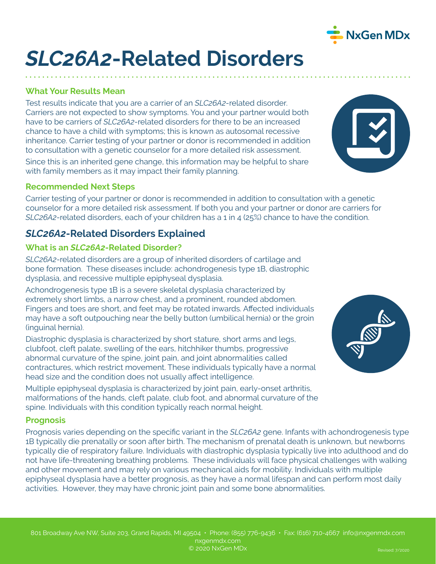

# *SLC26A2***-Related Disorders**

### **What Your Results Mean**

Test results indicate that you are a carrier of an *SLC26A2*-related disorder. Carriers are not expected to show symptoms. You and your partner would both have to be carriers of *SLC26A2*-related disorders for there to be an increased chance to have a child with symptoms; this is known as autosomal recessive inheritance. Carrier testing of your partner or donor is recommended in addition to consultation with a genetic counselor for a more detailed risk assessment.

Since this is an inherited gene change, this information may be helpful to share with family members as it may impact their family planning.

#### **Recommended Next Steps**

Carrier testing of your partner or donor is recommended in addition to consultation with a genetic counselor for a more detailed risk assessment. If both you and your partner or donor are carriers for *SLC26A2*-related disorders, each of your children has a 1 in 4 (25%) chance to have the condition.

## *SLC26A2***-Related Disorders Explained**

#### **What is an** *SLC26A2***-Related Disorder?**

*SLC26A2*-related disorders are a group of inherited disorders of cartilage and bone formation. These diseases include: achondrogenesis type 1B, diastrophic dysplasia, and recessive multiple epiphyseal dysplasia.

Achondrogenesis type 1B is a severe skeletal dysplasia characterized by extremely short limbs, a narrow chest, and a prominent, rounded abdomen. Fingers and toes are short, and feet may be rotated inwards. Affected individuals may have a soft outpouching near the belly button (umbilical hernia) or the groin (inguinal hernia).

Diastrophic dysplasia is characterized by short stature, short arms and legs, clubfoot, cleft palate, swelling of the ears, hitchhiker thumbs, progressive abnormal curvature of the spine, joint pain, and joint abnormalities called contractures, which restrict movement. These individuals typically have a normal head size and the condition does not usually affect intelligence.

Multiple epiphyseal dysplasia is characterized by joint pain, early-onset arthritis, malformations of the hands, cleft palate, club foot, and abnormal curvature of the spine. Individuals with this condition typically reach normal height.

#### **Prognosis**

Prognosis varies depending on the specific variant in the *SLC26A2* gene. Infants with achondrogenesis type 1B typically die prenatally or soon after birth. The mechanism of prenatal death is unknown, but newborns typically die of respiratory failure. Individuals with diastrophic dysplasia typically live into adulthood and do not have life-threatening breathing problems. These individuals will face physical challenges with walking and other movement and may rely on various mechanical aids for mobility. Individuals with multiple epiphyseal dysplasia have a better prognosis, as they have a normal lifespan and can perform most daily activities. However, they may have chronic joint pain and some bone abnormalities.